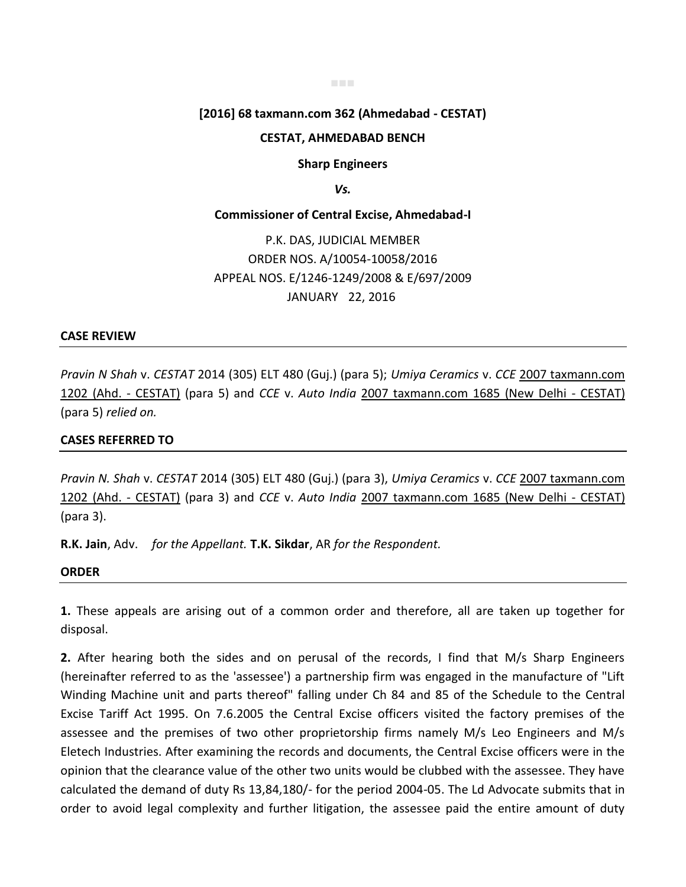#### ■■■

# **[2016] 68 taxmann.com 362 (Ahmedabad - CESTAT)**

### **CESTAT, AHMEDABAD BENCH**

**Sharp Engineers** 

*Vs.* 

#### **Commissioner of Central Excise, Ahmedabad-I**

P.K. DAS, JUDICIAL MEMBER ORDER NOS. A/10054-10058/2016 APPEAL NOS. E/1246-1249/2008 & E/697/2009 JANUARY 22, 2016

#### **CASE REVIEW**

*Pravin N Shah* v. *CESTAT* 2014 (305) ELT 480 (Guj.) (para 5); *Umiya Ceramics* v. *CCE* 2007 taxmann.com 1202 (Ahd. - CESTAT) (para 5) and *CCE* v. *Auto India* 2007 taxmann.com 1685 (New Delhi - CESTAT) (para 5) *relied on.*

## **CASES REFERRED TO**

*Pravin N. Shah* v. *CESTAT* 2014 (305) ELT 480 (Guj.) (para 3), *Umiya Ceramics* v. *CCE* 2007 taxmann.com 1202 (Ahd. - CESTAT) (para 3) and *CCE* v. *Auto India* 2007 taxmann.com 1685 (New Delhi - CESTAT) (para 3).

**R.K. Jain**, Adv. *for the Appellant.* **T.K. Sikdar**, AR *for the Respondent.*

# **ORDER**

**1.** These appeals are arising out of a common order and therefore, all are taken up together for disposal.

**2.** After hearing both the sides and on perusal of the records, I find that M/s Sharp Engineers (hereinafter referred to as the 'assessee') a partnership firm was engaged in the manufacture of "Lift Winding Machine unit and parts thereof" falling under Ch 84 and 85 of the Schedule to the Central Excise Tariff Act 1995. On 7.6.2005 the Central Excise officers visited the factory premises of the assessee and the premises of two other proprietorship firms namely M/s Leo Engineers and M/s Eletech Industries. After examining the records and documents, the Central Excise officers were in the opinion that the clearance value of the other two units would be clubbed with the assessee. They have calculated the demand of duty Rs 13,84,180/- for the period 2004-05. The Ld Advocate submits that in order to avoid legal complexity and further litigation, the assessee paid the entire amount of duty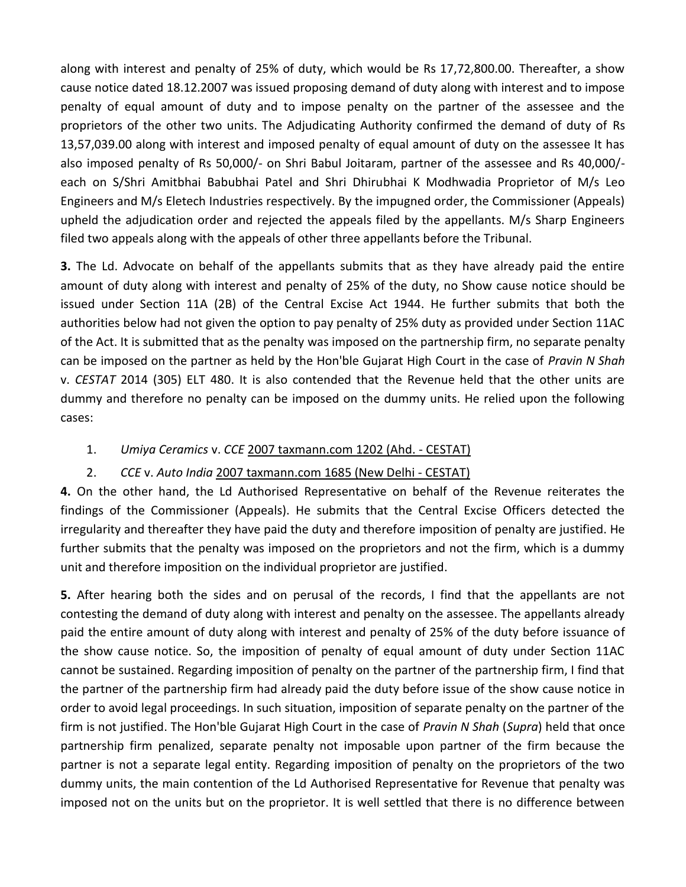along with interest and penalty of 25% of duty, which would be Rs 17,72,800.00. Thereafter, a show cause notice dated 18.12.2007 was issued proposing demand of duty along with interest and to impose penalty of equal amount of duty and to impose penalty on the partner of the assessee and the proprietors of the other two units. The Adjudicating Authority confirmed the demand of duty of Rs 13,57,039.00 along with interest and imposed penalty of equal amount of duty on the assessee It has also imposed penalty of Rs 50,000/- on Shri Babul Joitaram, partner of the assessee and Rs 40,000/ each on S/Shri Amitbhai Babubhai Patel and Shri Dhirubhai K Modhwadia Proprietor of M/s Leo Engineers and M/s Eletech Industries respectively. By the impugned order, the Commissioner (Appeals) upheld the adjudication order and rejected the appeals filed by the appellants. M/s Sharp Engineers filed two appeals along with the appeals of other three appellants before the Tribunal.

**3.** The Ld. Advocate on behalf of the appellants submits that as they have already paid the entire amount of duty along with interest and penalty of 25% of the duty, no Show cause notice should be issued under Section 11A (2B) of the Central Excise Act 1944. He further submits that both the authorities below had not given the option to pay penalty of 25% duty as provided under Section 11AC of the Act. It is submitted that as the penalty was imposed on the partnership firm, no separate penalty can be imposed on the partner as held by the Hon'ble Gujarat High Court in the case of *Pravin N Shah* v. *CESTAT* 2014 (305) ELT 480. It is also contended that the Revenue held that the other units are dummy and therefore no penalty can be imposed on the dummy units. He relied upon the following cases:

1. *Umiya Ceramics* v. *CCE* 2007 taxmann.com 1202 (Ahd. - CESTAT)

# 2. *CCE* v. *Auto India* 2007 taxmann.com 1685 (New Delhi - CESTAT)

**4.** On the other hand, the Ld Authorised Representative on behalf of the Revenue reiterates the findings of the Commissioner (Appeals). He submits that the Central Excise Officers detected the irregularity and thereafter they have paid the duty and therefore imposition of penalty are justified. He further submits that the penalty was imposed on the proprietors and not the firm, which is a dummy unit and therefore imposition on the individual proprietor are justified.

**5.** After hearing both the sides and on perusal of the records, I find that the appellants are not contesting the demand of duty along with interest and penalty on the assessee. The appellants already paid the entire amount of duty along with interest and penalty of 25% of the duty before issuance of the show cause notice. So, the imposition of penalty of equal amount of duty under Section 11AC cannot be sustained. Regarding imposition of penalty on the partner of the partnership firm, I find that the partner of the partnership firm had already paid the duty before issue of the show cause notice in order to avoid legal proceedings. In such situation, imposition of separate penalty on the partner of the firm is not justified. The Hon'ble Gujarat High Court in the case of *Pravin N Shah* (*Supra*) held that once partnership firm penalized, separate penalty not imposable upon partner of the firm because the partner is not a separate legal entity. Regarding imposition of penalty on the proprietors of the two dummy units, the main contention of the Ld Authorised Representative for Revenue that penalty was imposed not on the units but on the proprietor. It is well settled that there is no difference between